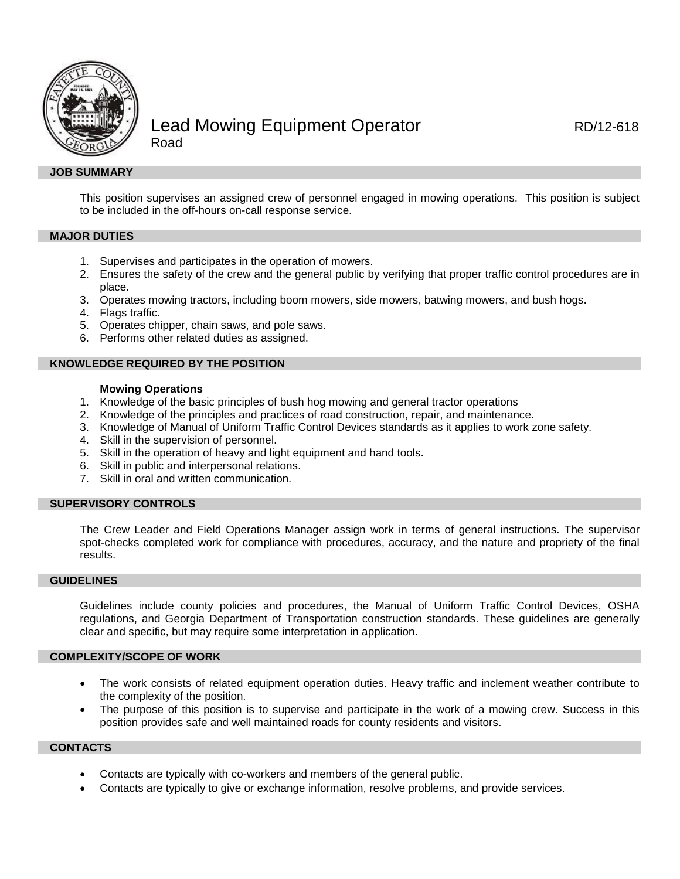

# Lead Mowing Equipment Operator **RD/12-618** Road

# **JOB SUMMARY**

This position supervises an assigned crew of personnel engaged in mowing operations. This position is subject to be included in the off-hours on-call response service.

# **MAJOR DUTIES**

- 1. Supervises and participates in the operation of mowers.
- 2. Ensures the safety of the crew and the general public by verifying that proper traffic control procedures are in place.
- 3. Operates mowing tractors, including boom mowers, side mowers, batwing mowers, and bush hogs.
- 4. Flags traffic.
- 5. Operates chipper, chain saws, and pole saws.
- 6. Performs other related duties as assigned.

## **KNOWLEDGE REQUIRED BY THE POSITION**

## **Mowing Operations**

- 1. Knowledge of the basic principles of bush hog mowing and general tractor operations
- 2. Knowledge of the principles and practices of road construction, repair, and maintenance.
- 3. Knowledge of Manual of Uniform Traffic Control Devices standards as it applies to work zone safety.
- 4. Skill in the supervision of personnel.
- 5. Skill in the operation of heavy and light equipment and hand tools.
- 6. Skill in public and interpersonal relations.
- 7. Skill in oral and written communication.

# **SUPERVISORY CONTROLS**

The Crew Leader and Field Operations Manager assign work in terms of general instructions. The supervisor spot-checks completed work for compliance with procedures, accuracy, and the nature and propriety of the final results.

## **GUIDELINES**

Guidelines include county policies and procedures, the Manual of Uniform Traffic Control Devices, OSHA regulations, and Georgia Department of Transportation construction standards. These guidelines are generally clear and specific, but may require some interpretation in application.

#### **COMPLEXITY/SCOPE OF WORK**

- The work consists of related equipment operation duties. Heavy traffic and inclement weather contribute to the complexity of the position.
- The purpose of this position is to supervise and participate in the work of a mowing crew. Success in this position provides safe and well maintained roads for county residents and visitors.

#### **CONTACTS**

- Contacts are typically with co-workers and members of the general public.
- Contacts are typically to give or exchange information, resolve problems, and provide services.